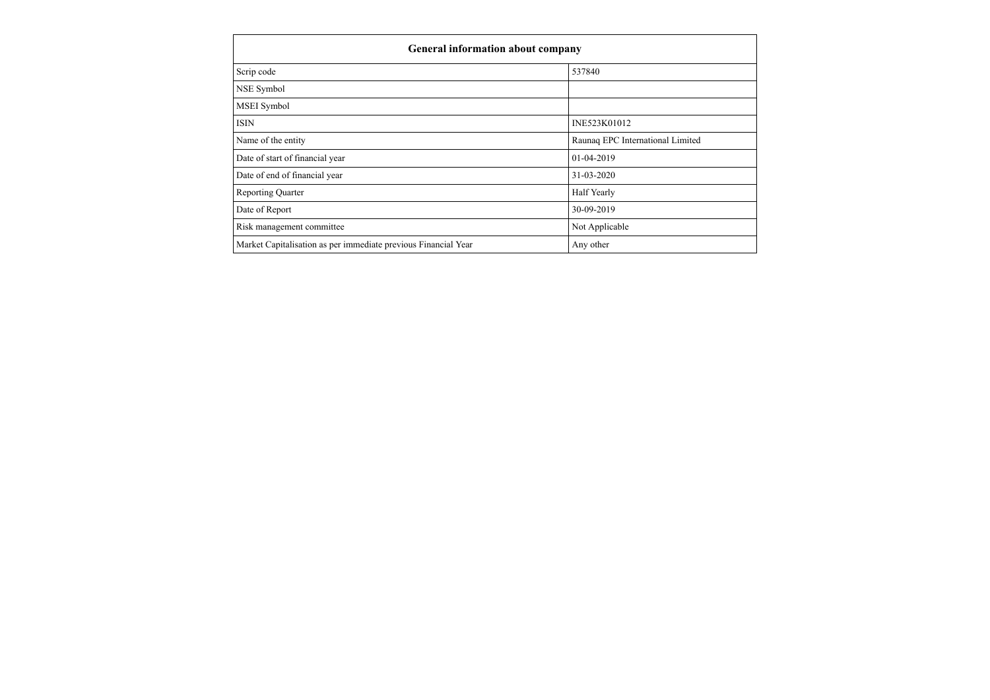| <b>General information about company</b>                       |                                  |
|----------------------------------------------------------------|----------------------------------|
| Scrip code                                                     | 537840                           |
| <b>NSE</b> Symbol                                              |                                  |
| MSEI Symbol                                                    |                                  |
| <b>ISIN</b>                                                    | INE523K01012                     |
| Name of the entity                                             | Raunaq EPC International Limited |
| Date of start of financial year                                | 01-04-2019                       |
| Date of end of financial year                                  | 31-03-2020                       |
| <b>Reporting Quarter</b>                                       | Half Yearly                      |
| Date of Report                                                 | 30-09-2019                       |
| Risk management committee                                      | Not Applicable                   |
| Market Capitalisation as per immediate previous Financial Year | Any other                        |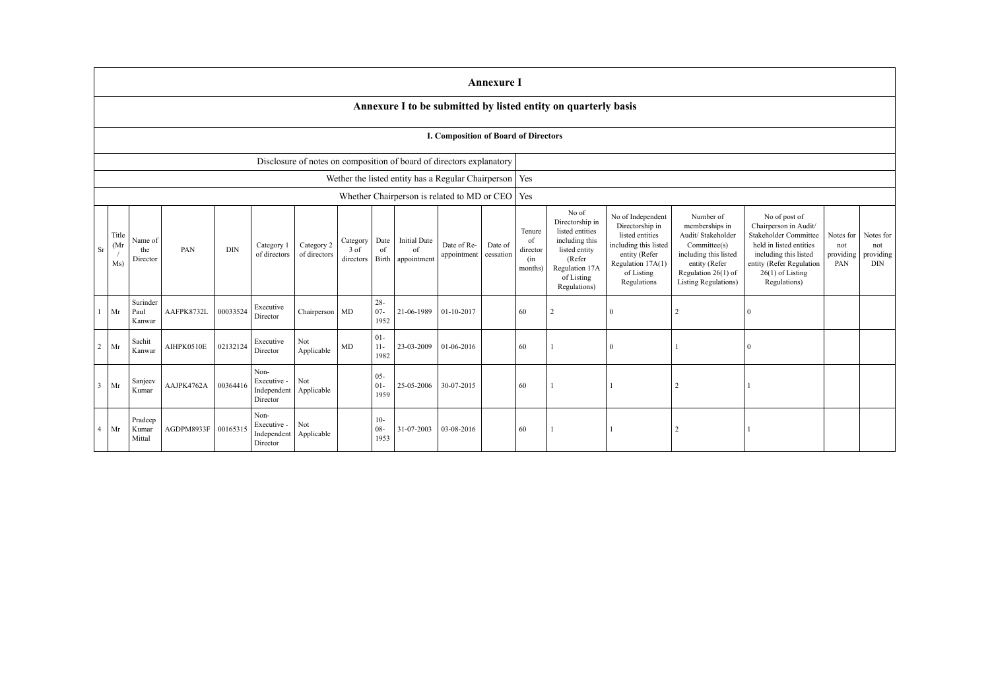|              |                                                          |                                                                      |            |            |                                                |                            |                               |                          |                                          |                                      | <b>Annexure I</b>    |                                            |                                                                                                                                          |                                                                                                                                                     |                                                                                                                                                                     |                                                                                                                                                                                       |                                      |                                             |
|--------------|----------------------------------------------------------|----------------------------------------------------------------------|------------|------------|------------------------------------------------|----------------------------|-------------------------------|--------------------------|------------------------------------------|--------------------------------------|----------------------|--------------------------------------------|------------------------------------------------------------------------------------------------------------------------------------------|-----------------------------------------------------------------------------------------------------------------------------------------------------|---------------------------------------------------------------------------------------------------------------------------------------------------------------------|---------------------------------------------------------------------------------------------------------------------------------------------------------------------------------------|--------------------------------------|---------------------------------------------|
|              |                                                          |                                                                      |            |            |                                                |                            |                               |                          |                                          |                                      |                      |                                            | Annexure I to be submitted by listed entity on quarterly basis                                                                           |                                                                                                                                                     |                                                                                                                                                                     |                                                                                                                                                                                       |                                      |                                             |
|              |                                                          |                                                                      |            |            |                                                |                            |                               |                          |                                          | I. Composition of Board of Directors |                      |                                            |                                                                                                                                          |                                                                                                                                                     |                                                                                                                                                                     |                                                                                                                                                                                       |                                      |                                             |
|              |                                                          | Disclosure of notes on composition of board of directors explanatory |            |            |                                                |                            |                               |                          |                                          |                                      |                      |                                            |                                                                                                                                          |                                                                                                                                                     |                                                                                                                                                                     |                                                                                                                                                                                       |                                      |                                             |
|              | Wether the listed entity has a Regular Chairperson   Yes |                                                                      |            |            |                                                |                            |                               |                          |                                          |                                      |                      |                                            |                                                                                                                                          |                                                                                                                                                     |                                                                                                                                                                     |                                                                                                                                                                                       |                                      |                                             |
|              | Whether Chairperson is related to MD or CEO   Yes        |                                                                      |            |            |                                                |                            |                               |                          |                                          |                                      |                      |                                            |                                                                                                                                          |                                                                                                                                                     |                                                                                                                                                                     |                                                                                                                                                                                       |                                      |                                             |
| Sr           | Title<br>(Mr)<br>Ms                                      | Name of<br>the<br>Director                                           | PAN        | <b>DIN</b> | Category 1<br>of directors                     | Category 2<br>of directors | Category<br>3 of<br>directors | Date<br>of<br>Birth      | <b>Initial Date</b><br>of<br>appointment | Date of Re-<br>appointment           | Date of<br>cessation | Tenure<br>of<br>director<br>(in<br>months) | No of<br>Directorship in<br>listed entities<br>including this<br>listed entity<br>(Refer<br>Regulation 17A<br>of Listing<br>Regulations) | No of Independent<br>Directorship in<br>listed entities<br>including this listed<br>entity (Refer<br>Regulation 17A(1)<br>of Listing<br>Regulations | Number of<br>memberships in<br>Audit/ Stakeholder<br>Committee(s)<br>including this listed<br>entity (Refer<br>Regulation $26(1)$ of<br><b>Listing Regulations)</b> | No of post of<br>Chairperson in Audit/<br>Stakeholder Committee<br>held in listed entities<br>including this listed<br>entity (Refer Regulation<br>$26(1)$ of Listing<br>Regulations) | Notes for<br>not<br>providing<br>PAN | Notes for<br>not<br>providing<br><b>DIN</b> |
|              | Mr                                                       | Surinder<br>Paul<br>Kanwar                                           | AAFPK8732L | 00033524   | Executive<br>Director                          | Chairperson MD             |                               | $28 -$<br>$07 -$<br>1952 | 21-06-1989                               | 01-10-2017                           |                      | 60                                         | $\overline{2}$                                                                                                                           | $\Omega$                                                                                                                                            |                                                                                                                                                                     |                                                                                                                                                                                       |                                      |                                             |
| $2^{\circ}$  | Mr                                                       | Sachit<br>Kanwar                                                     | AIHPK0510E | 02132124   | Executive<br>Director                          | Not<br>Applicable          | MD                            | $01 -$<br>$11 -$<br>1982 | 23-03-2009                               | 01-06-2016                           |                      | 60                                         |                                                                                                                                          | $\Omega$                                                                                                                                            |                                                                                                                                                                     |                                                                                                                                                                                       |                                      |                                             |
| $\mathbf{3}$ | Mr                                                       | Sanjeev<br>Kumar                                                     | AAJPK4762A | 00364416   | Non-<br>Executive -<br>Independent<br>Director | Not<br>Applicable          |                               | $05 -$<br>$01 -$<br>1959 | 25-05-2006                               | 30-07-2015                           |                      | 60                                         |                                                                                                                                          |                                                                                                                                                     | $\overline{2}$                                                                                                                                                      |                                                                                                                                                                                       |                                      |                                             |
|              | $4$ Mr                                                   | Pradeep<br>Kumar<br>Mittal                                           | AGDPM8933F | 0016531:   | Non-<br>Executive -<br>Independent<br>Director | Not<br>Applicable          |                               | $10-$<br>$08 -$<br>1953  | 31-07-2003                               | 03-08-2016                           |                      | 60                                         |                                                                                                                                          |                                                                                                                                                     | $\overline{c}$                                                                                                                                                      |                                                                                                                                                                                       |                                      |                                             |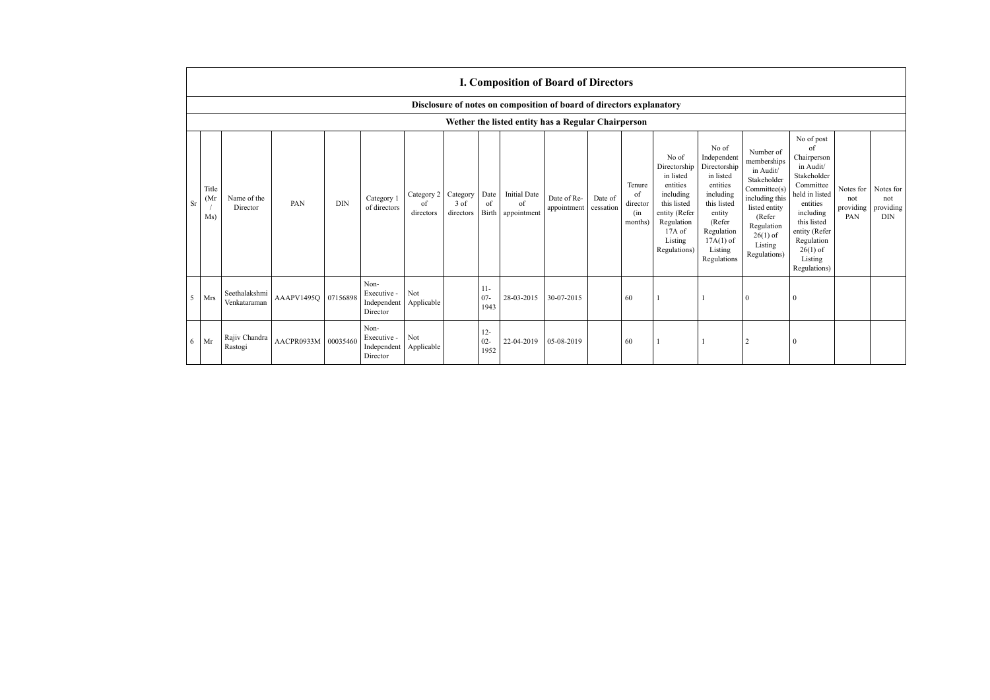|    | <b>I. Composition of Board of Directors</b>                          |                                                    |            |            |                                                |                                        |                   |                          |                                                |                                      |         |                                            |                                                                                                                                                  |                                                                                                                                                                      |                                                                                                                                                                          |                                                                                                                                                                                                            |                                      |                                             |
|----|----------------------------------------------------------------------|----------------------------------------------------|------------|------------|------------------------------------------------|----------------------------------------|-------------------|--------------------------|------------------------------------------------|--------------------------------------|---------|--------------------------------------------|--------------------------------------------------------------------------------------------------------------------------------------------------|----------------------------------------------------------------------------------------------------------------------------------------------------------------------|--------------------------------------------------------------------------------------------------------------------------------------------------------------------------|------------------------------------------------------------------------------------------------------------------------------------------------------------------------------------------------------------|--------------------------------------|---------------------------------------------|
|    | Disclosure of notes on composition of board of directors explanatory |                                                    |            |            |                                                |                                        |                   |                          |                                                |                                      |         |                                            |                                                                                                                                                  |                                                                                                                                                                      |                                                                                                                                                                          |                                                                                                                                                                                                            |                                      |                                             |
|    |                                                                      | Wether the listed entity has a Regular Chairperson |            |            |                                                |                                        |                   |                          |                                                |                                      |         |                                            |                                                                                                                                                  |                                                                                                                                                                      |                                                                                                                                                                          |                                                                                                                                                                                                            |                                      |                                             |
| Sr | Title<br>(Mr)<br>Ms)                                                 | Name of the<br>Director                            | PAN        | <b>DIN</b> | Category 1<br>of directors                     | Category 2 Category<br>of<br>directors | 3 of<br>directors | Date<br>of               | <b>Initial Date</b><br>of<br>Birth appointment | Date of Re-<br>appointment cessation | Date of | Tenure<br>of<br>director<br>(in<br>months) | No of<br>Directorship<br>in listed<br>entities<br>including<br>this listed<br>entity (Refer<br>Regulation<br>$17A$ of<br>Listing<br>Regulations) | No of<br>Independent<br>Directorship<br>in listed<br>entities<br>including<br>this listed<br>entity<br>(Refer<br>Regulation<br>$17A(1)$ of<br>Listing<br>Regulations | Number of<br>memberships<br>in Audit/<br>Stakeholder<br>Committee(s)<br>including this<br>listed entity<br>(Refer<br>Regulation<br>$26(1)$ of<br>Listing<br>Regulations) | No of post<br>of<br>Chairperson<br>in Audit/<br>Stakeholder<br>Committee<br>held in listed<br>entities<br>including<br>this listed<br>entity (Refer<br>Regulation<br>$26(1)$ of<br>Listing<br>Regulations) | Notes for<br>not<br>providing<br>PAN | Notes for<br>not<br>providing<br><b>DIN</b> |
| 5  | Mrs                                                                  | Seethalakshmi<br>Venkataraman                      | AAAPV1495O | 07156898   | Non-<br>Executive -<br>Independent<br>Director | Not<br>Applicable                      |                   | $11-$<br>$07 -$<br>1943  | 28-03-2015                                     | 30-07-2015                           |         | 60                                         |                                                                                                                                                  |                                                                                                                                                                      | $\Omega$                                                                                                                                                                 |                                                                                                                                                                                                            |                                      |                                             |
| 6  | Mr                                                                   | Rajiv Chandra<br>Rastogi                           | AACPR0933M | 00035460   | Non-<br>Executive -<br>Independent<br>Director | Not<br>Applicable                      |                   | $12 -$<br>$02 -$<br>1952 | 22-04-2019                                     | 05-08-2019                           |         | 60                                         |                                                                                                                                                  |                                                                                                                                                                      | $\overline{2}$                                                                                                                                                           | $\Omega$                                                                                                                                                                                                   |                                      |                                             |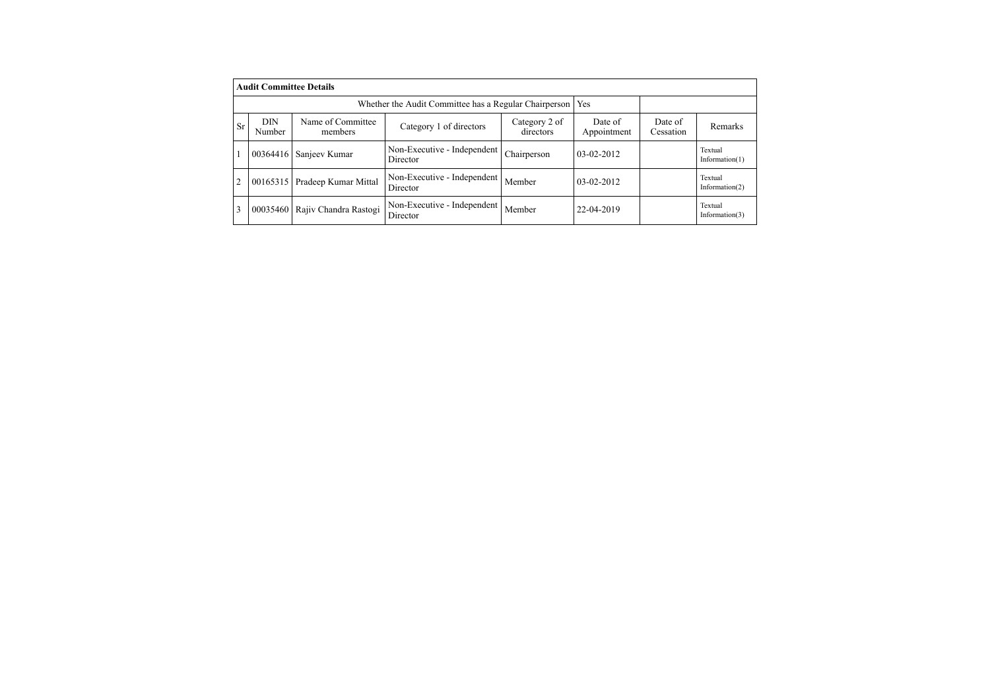|                | <b>Audit Committee Details</b>                               |                                |                                         |                            |                        |                      |                              |  |  |  |  |
|----------------|--------------------------------------------------------------|--------------------------------|-----------------------------------------|----------------------------|------------------------|----------------------|------------------------------|--|--|--|--|
|                | Whether the Audit Committee has a Regular Chairperson<br>Yes |                                |                                         |                            |                        |                      |                              |  |  |  |  |
| <b>Sr</b>      | DIN<br>Number                                                | Name of Committee<br>members   | Category 1 of directors                 | Category 2 of<br>directors | Date of<br>Appointment | Date of<br>Cessation | Remarks                      |  |  |  |  |
| 1              | 00364416                                                     | Sanjeev Kumar                  | Non-Executive - Independent<br>Director | Chairperson                | $03-02-2012$           |                      | Textual<br>Information $(1)$ |  |  |  |  |
| $\overline{2}$ |                                                              | 00165315 Pradeep Kumar Mittal  | Non-Executive - Independent<br>Director | Member                     | $03-02-2012$           |                      | Textual<br>Information $(2)$ |  |  |  |  |
| 3              |                                                              | 00035460 Rajiv Chandra Rastogi | Non-Executive - Independent<br>Director | Member                     | 22-04-2019             |                      | Textual<br>Information $(3)$ |  |  |  |  |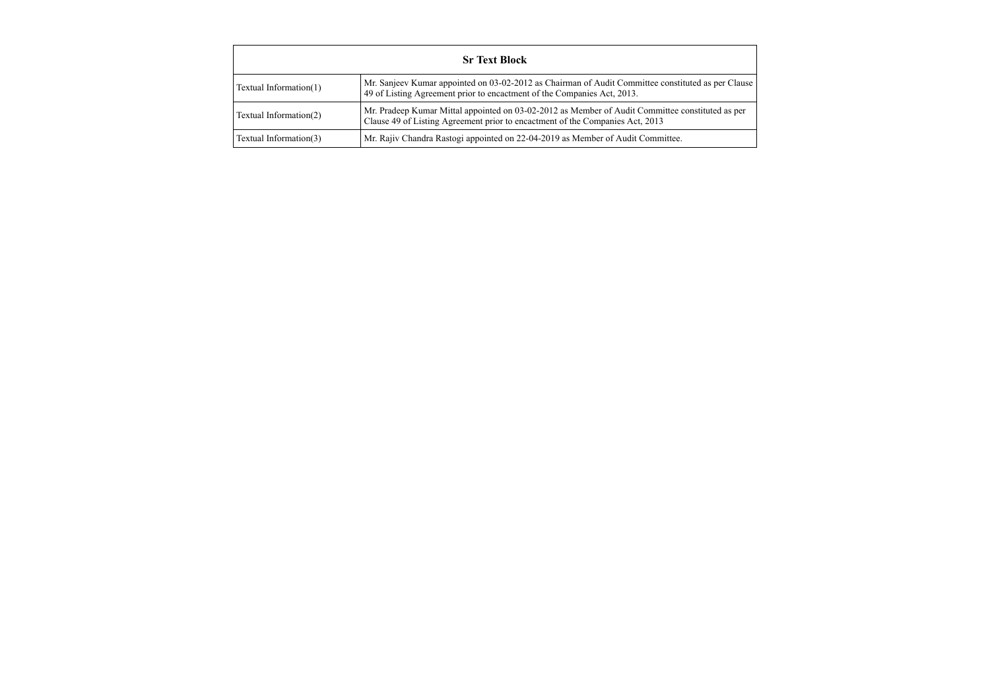| <b>Sr Text Block</b>   |                                                                                                                                                                                   |  |  |  |  |  |  |
|------------------------|-----------------------------------------------------------------------------------------------------------------------------------------------------------------------------------|--|--|--|--|--|--|
| Textual Information(1) | Mr. Sanjeev Kumar appointed on 03-02-2012 as Chairman of Audit Committee constituted as per Clause<br>49 of Listing Agreement prior to encactment of the Companies Act, 2013.     |  |  |  |  |  |  |
| Textual Information(2) | Mr. Pradeep Kumar Mittal appointed on 03-02-2012 as Member of Audit Committee constituted as per<br>Clause 49 of Listing Agreement prior to encactment of the Companies Act, 2013 |  |  |  |  |  |  |
| Textual Information(3) | Mr. Rajiv Chandra Rastogi appointed on 22-04-2019 as Member of Audit Committee.                                                                                                   |  |  |  |  |  |  |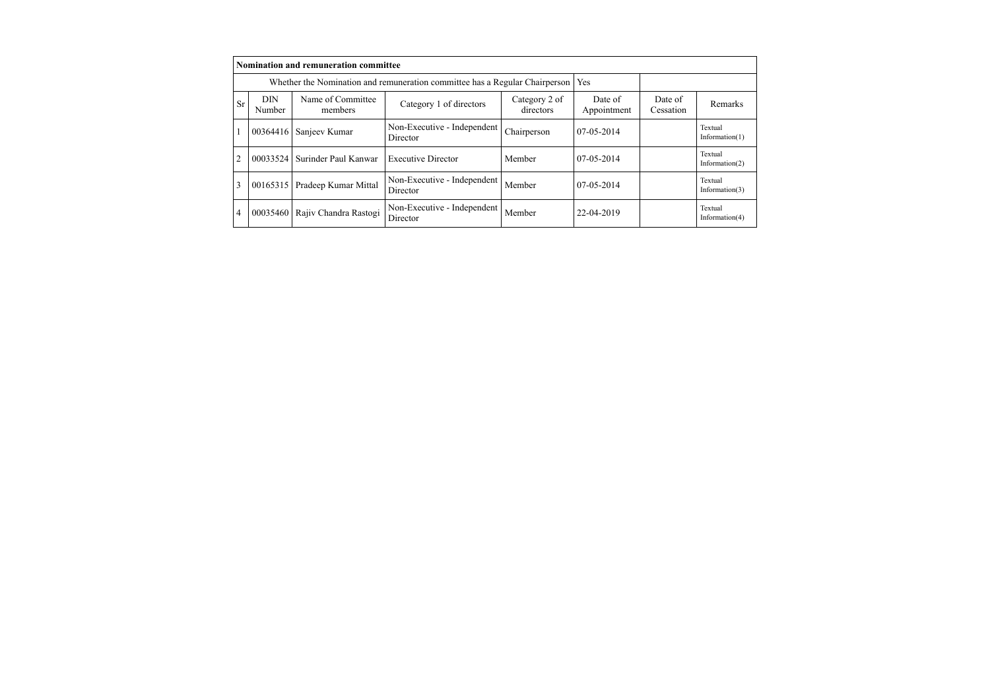|                |                      | Nomination and remuneration committee                                       |                                         |                            |                        |                      |                              |
|----------------|----------------------|-----------------------------------------------------------------------------|-----------------------------------------|----------------------------|------------------------|----------------------|------------------------------|
|                |                      | Whether the Nomination and remuneration committee has a Regular Chairperson | <b>Yes</b>                              |                            |                        |                      |                              |
| Sr             | <b>DIN</b><br>Number | Name of Committee<br>members                                                | Category 1 of directors                 | Category 2 of<br>directors | Date of<br>Appointment | Date of<br>Cessation | Remarks                      |
|                | 00364416             | Sanjeev Kumar                                                               | Non-Executive - Independent<br>Director | Chairperson                | $07-05-2014$           |                      | Textual<br>Information $(1)$ |
| $\mathfrak{D}$ | 00033524             | Surinder Paul Kanwar                                                        | <b>Executive Director</b>               | Member                     | $07-05-2014$           |                      | Textual<br>Information $(2)$ |
| 3              | 00165315             | Pradeep Kumar Mittal                                                        | Non-Executive - Independent<br>Director | Member                     | $07-05-2014$           |                      | Textual<br>Information $(3)$ |
| 4              | 00035460             | Rajiv Chandra Rastogi                                                       | Non-Executive - Independent<br>Director | Member                     | 22-04-2019             |                      | Textual<br>Information(4)    |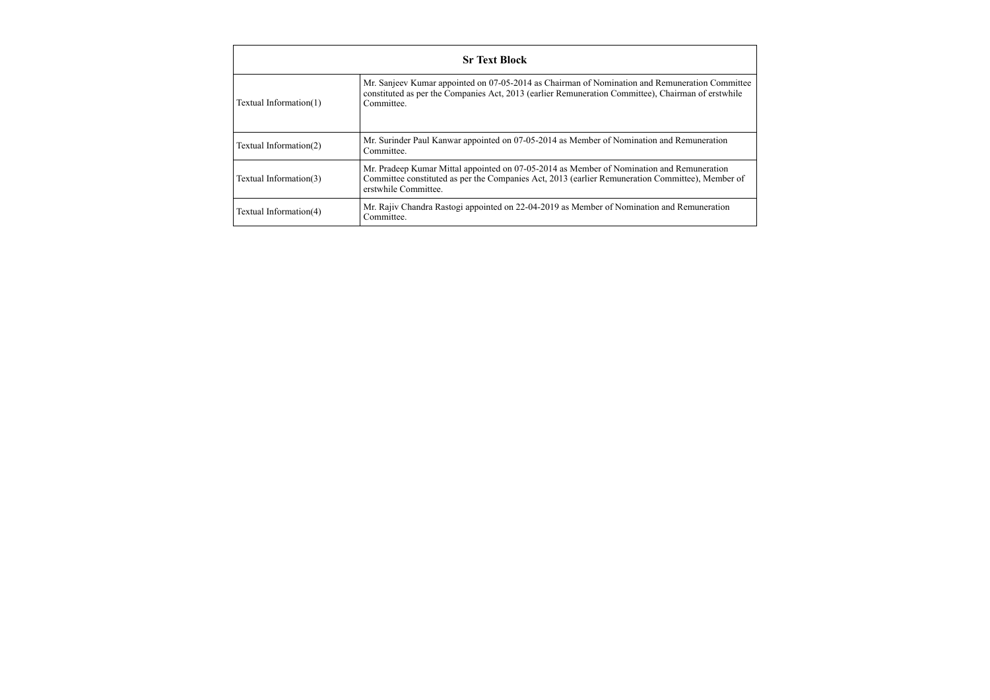|                        | <b>Sr Text Block</b>                                                                                                                                                                                                  |  |  |  |  |  |  |  |
|------------------------|-----------------------------------------------------------------------------------------------------------------------------------------------------------------------------------------------------------------------|--|--|--|--|--|--|--|
| Textual Information(1) | Mr. Sanjeev Kumar appointed on 07-05-2014 as Chairman of Nomination and Remuneration Committee<br>constituted as per the Companies Act, 2013 (earlier Remuneration Committee), Chairman of erstwhile<br>Committee.    |  |  |  |  |  |  |  |
| Textual Information(2) | Mr. Surinder Paul Kanwar appointed on 07-05-2014 as Member of Nomination and Remuneration<br>Committee.                                                                                                               |  |  |  |  |  |  |  |
| Textual Information(3) | Mr. Pradeep Kumar Mittal appointed on 07-05-2014 as Member of Nomination and Remuneration<br>Committee constituted as per the Companies Act, 2013 (earlier Remuneration Committee), Member of<br>erstwhile Committee. |  |  |  |  |  |  |  |
| Textual Information(4) | Mr. Rajiv Chandra Rastogi appointed on 22-04-2019 as Member of Nomination and Remuneration<br>Committee.                                                                                                              |  |  |  |  |  |  |  |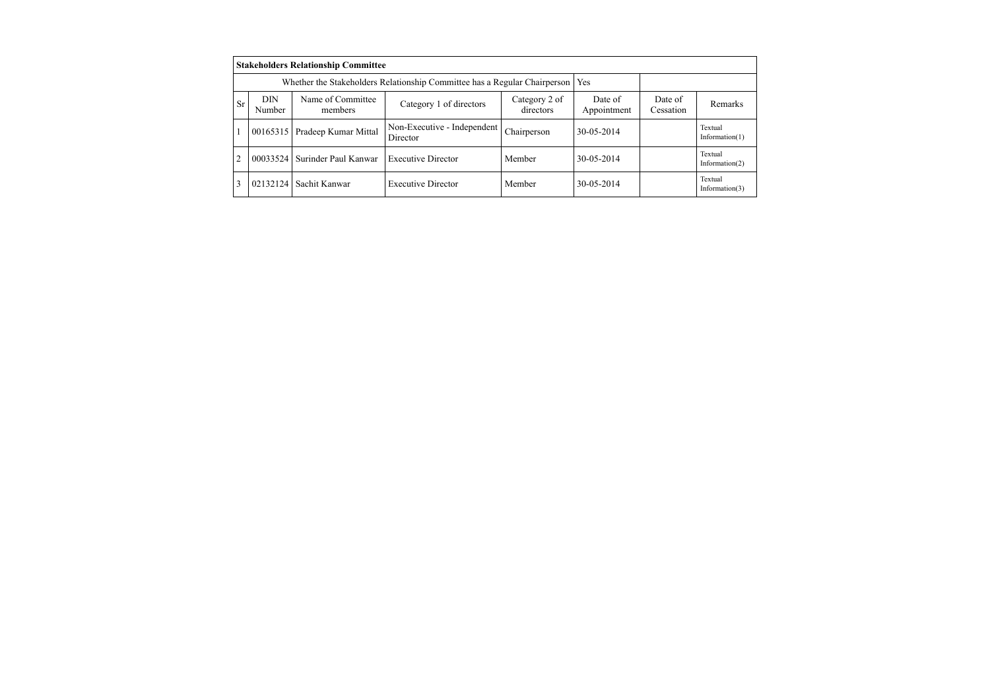|    |               | <b>Stakeholders Relationship Committee</b>                                |                                         |                            |                        |                      |                              |
|----|---------------|---------------------------------------------------------------------------|-----------------------------------------|----------------------------|------------------------|----------------------|------------------------------|
|    |               | Whether the Stakeholders Relationship Committee has a Regular Chairperson | Yes                                     |                            |                        |                      |                              |
| Sr | DIN<br>Number | Name of Committee<br>members                                              | Category 1 of directors                 | Category 2 of<br>directors | Date of<br>Appointment | Date of<br>Cessation | Remarks                      |
|    | 00165315      | Pradeep Kumar Mittal                                                      | Non-Executive - Independent<br>Director | Chairperson                | 30-05-2014             |                      | Textual<br>Information $(1)$ |
|    | 00033524      | Surinder Paul Kanwar                                                      | <b>Executive Director</b>               | Member                     | 30-05-2014             |                      | Textual<br>Information $(2)$ |
|    | 02132124      | Sachit Kanwar                                                             | <b>Executive Director</b>               | Member                     | 30-05-2014             |                      | Textual<br>Information $(3)$ |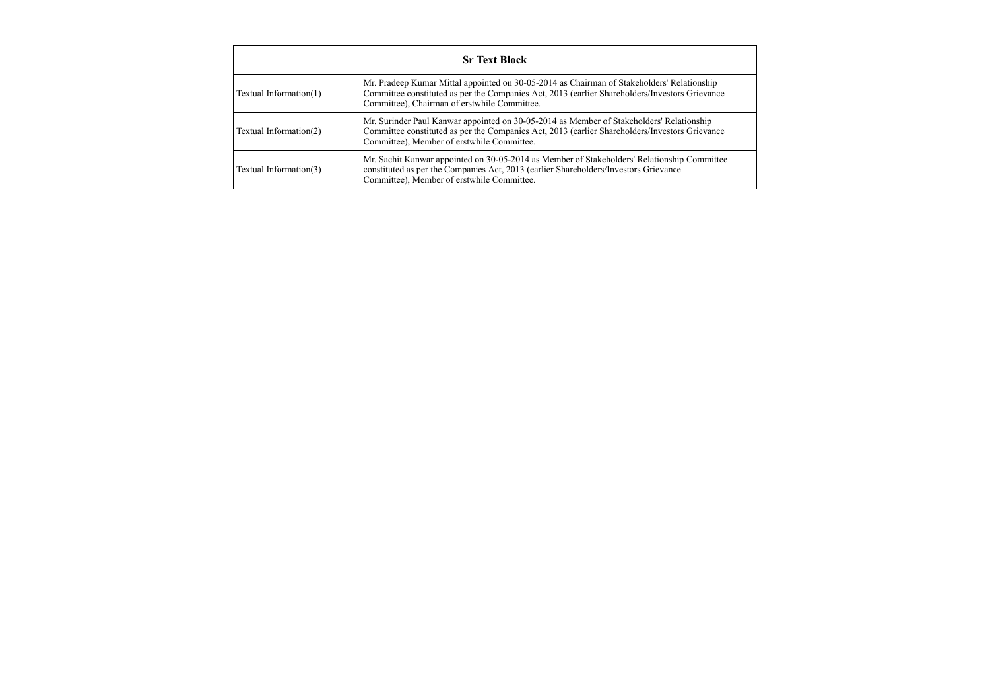|                        | <b>Sr Text Block</b>                                                                                                                                                                                                                         |
|------------------------|----------------------------------------------------------------------------------------------------------------------------------------------------------------------------------------------------------------------------------------------|
| Textual Information(1) | Mr. Pradeep Kumar Mittal appointed on 30-05-2014 as Chairman of Stakeholders' Relationship<br>Committee constituted as per the Companies Act, 2013 (earlier Shareholders/Investors Grievance<br>Committee), Chairman of erstwhile Committee. |
| Textual Information(2) | Mr. Surinder Paul Kanwar appointed on 30-05-2014 as Member of Stakeholders' Relationship<br>Committee constituted as per the Companies Act, 2013 (earlier Shareholders/Investors Grievance<br>Committee), Member of erstwhile Committee.     |
| Textual Information(3) | Mr. Sachit Kanwar appointed on 30-05-2014 as Member of Stakeholders' Relationship Committee<br>constituted as per the Companies Act, 2013 (earlier Shareholders/Investors Grievance<br>Committee), Member of erstwhile Committee.            |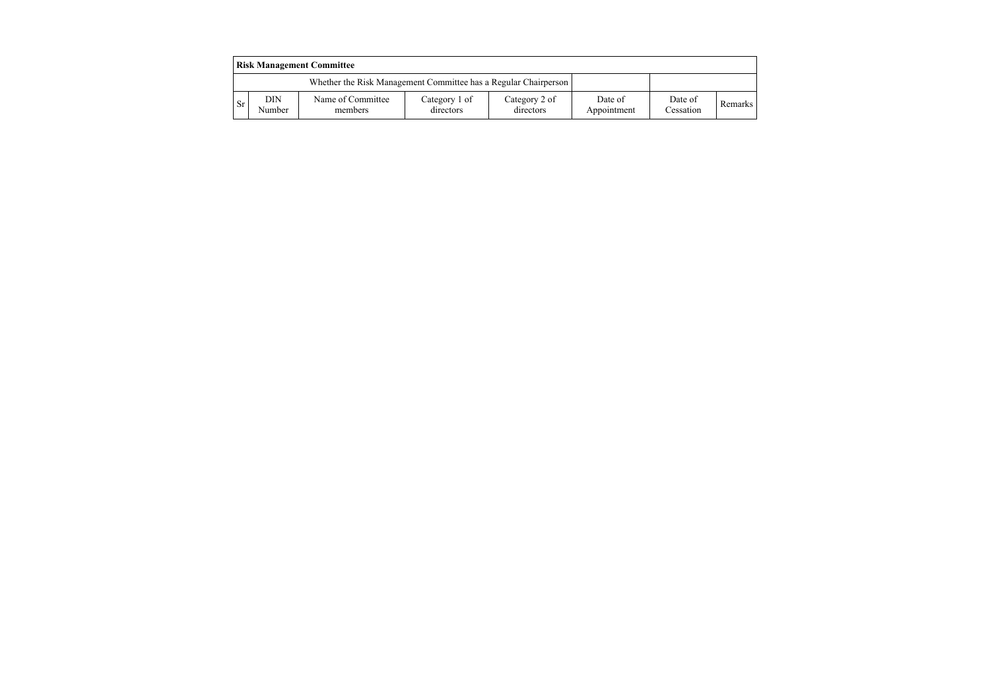|           | <b>Risk Management Committee</b>                                |                              |                            |                            |                        |                      |                |  |  |  |
|-----------|-----------------------------------------------------------------|------------------------------|----------------------------|----------------------------|------------------------|----------------------|----------------|--|--|--|
|           | Whether the Risk Management Committee has a Regular Chairperson |                              |                            |                            |                        |                      |                |  |  |  |
| <b>Sr</b> | DIN<br>Number                                                   | Name of Committee<br>members | Category 1 of<br>directors | Category 2 of<br>directors | Date of<br>Appointment | Date of<br>Cessation | <b>Remarks</b> |  |  |  |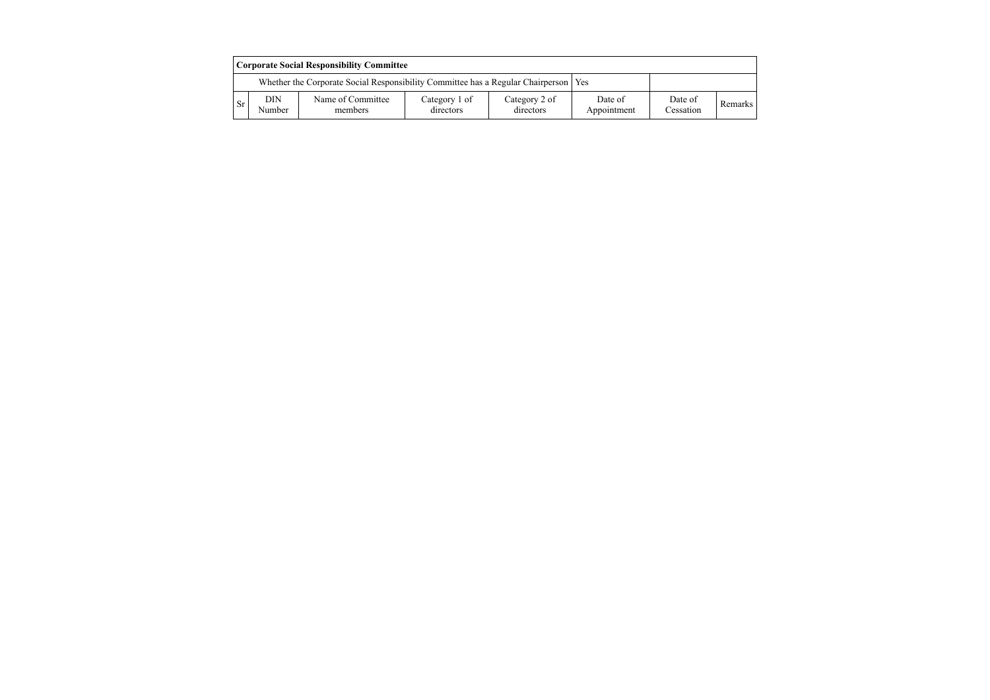|           | <b>Corporate Social Responsibility Committee</b>                                      |                              |                            |                            |                        |                      |         |  |  |  |
|-----------|---------------------------------------------------------------------------------------|------------------------------|----------------------------|----------------------------|------------------------|----------------------|---------|--|--|--|
|           | Whether the Corporate Social Responsibility Committee has a Regular Chairperson   Yes |                              |                            |                            |                        |                      |         |  |  |  |
| <b>Sr</b> | DIN<br>Number                                                                         | Name of Committee<br>members | Category 1 of<br>directors | Category 2 of<br>directors | Date of<br>Appointment | Date of<br>Cessation | Remarks |  |  |  |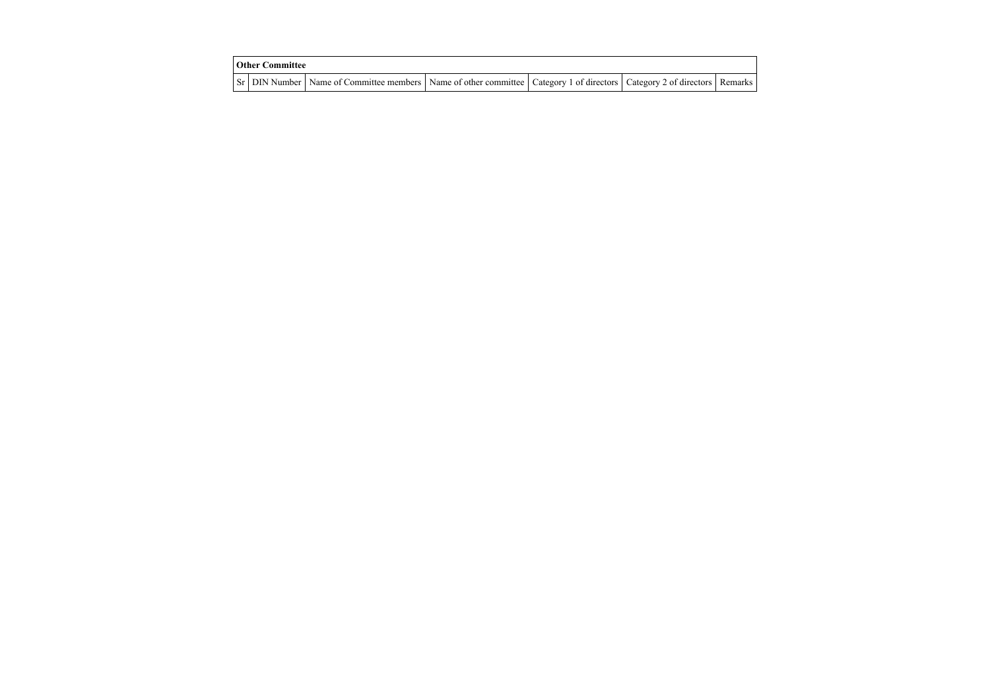| <b>Other Committee</b> |                                                                                                                                     |  |  |  |  |  |  |  |
|------------------------|-------------------------------------------------------------------------------------------------------------------------------------|--|--|--|--|--|--|--|
|                        | Sr   DIN Number   Name of Committee members   Name of other committee   Category 1 of directors   Category 2 of directors   Remarks |  |  |  |  |  |  |  |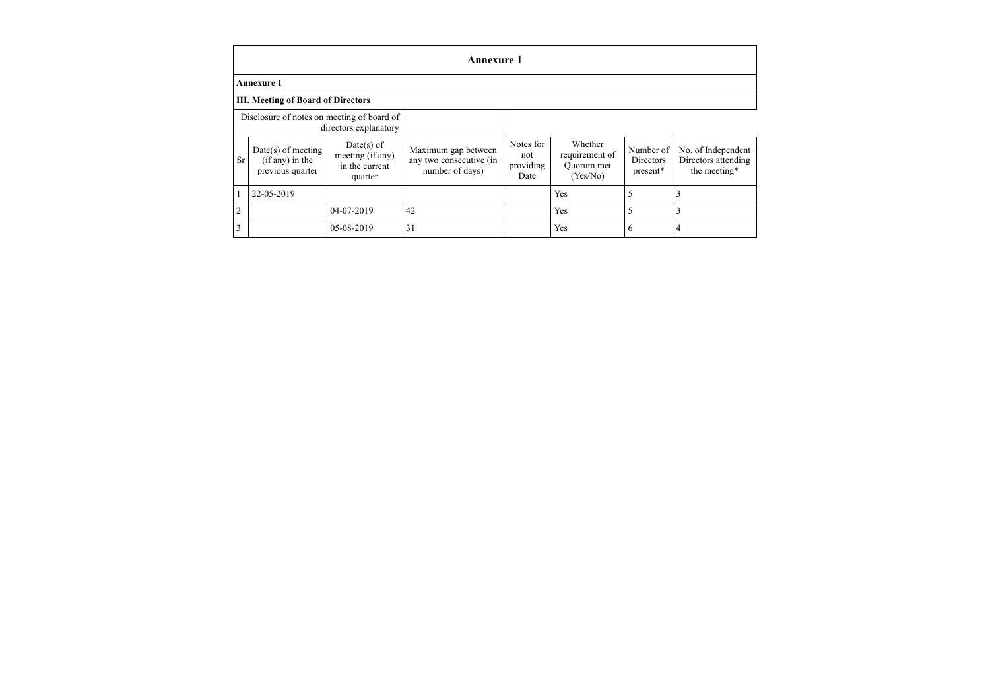|                                                                     | <b>Annexure 1</b>                                             |                                                               |                                                                   |                                       |                                                     |                                             |                                                           |
|---------------------------------------------------------------------|---------------------------------------------------------------|---------------------------------------------------------------|-------------------------------------------------------------------|---------------------------------------|-----------------------------------------------------|---------------------------------------------|-----------------------------------------------------------|
|                                                                     | <b>Annexure 1</b>                                             |                                                               |                                                                   |                                       |                                                     |                                             |                                                           |
|                                                                     | <b>III. Meeting of Board of Directors</b>                     |                                                               |                                                                   |                                       |                                                     |                                             |                                                           |
| Disclosure of notes on meeting of board of<br>directors explanatory |                                                               |                                                               |                                                                   |                                       |                                                     |                                             |                                                           |
| <b>Sr</b>                                                           | $Date(s)$ of meeting<br>$(if any)$ in the<br>previous quarter | $Date(s)$ of<br>meeting (if any)<br>in the current<br>quarter | Maximum gap between<br>any two consecutive (in<br>number of days) | Notes for<br>not<br>providing<br>Date | Whether<br>requirement of<br>Quorum met<br>(Yes/No) | Number of<br><b>Directors</b><br>$present*$ | No. of Independent<br>Directors attending<br>the meeting* |
|                                                                     | 22-05-2019                                                    |                                                               |                                                                   |                                       | Yes                                                 | 5                                           |                                                           |
| $\overline{2}$                                                      |                                                               | 04-07-2019                                                    | 42                                                                |                                       | Yes                                                 | 5                                           |                                                           |
| 3                                                                   |                                                               | 05-08-2019                                                    | 31                                                                |                                       | Yes                                                 | 6                                           | 4                                                         |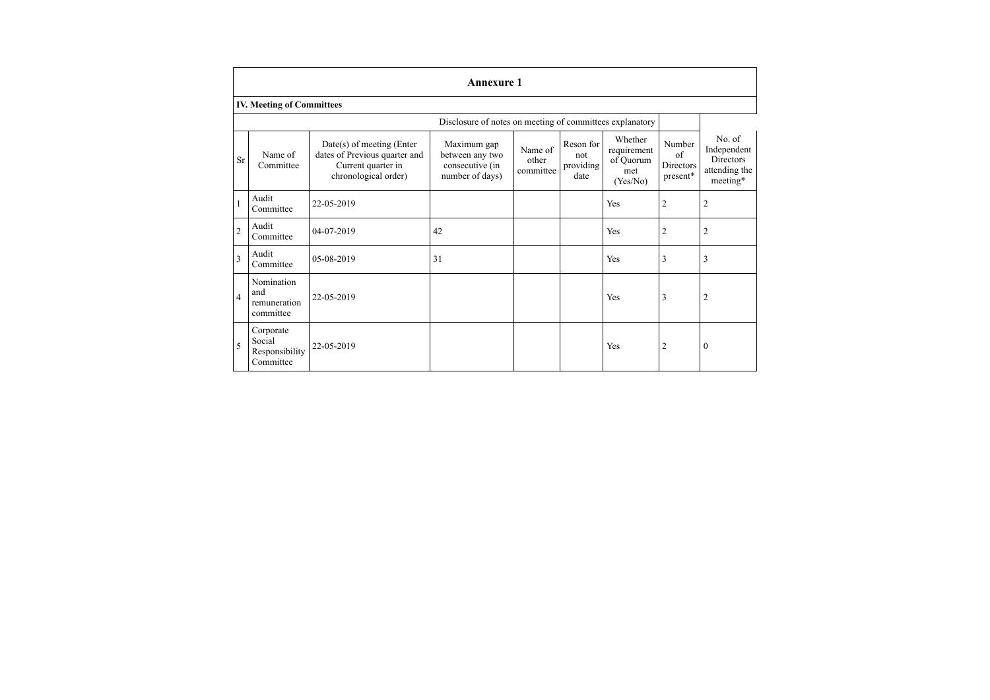|                | <b>Annexure 1</b>                                  |                                                                                                            |                                                                      |                               |                                       |                                                        |                                       |                                                                 |
|----------------|----------------------------------------------------|------------------------------------------------------------------------------------------------------------|----------------------------------------------------------------------|-------------------------------|---------------------------------------|--------------------------------------------------------|---------------------------------------|-----------------------------------------------------------------|
|                | <b>IV. Meeting of Committees</b>                   |                                                                                                            |                                                                      |                               |                                       |                                                        |                                       |                                                                 |
|                |                                                    |                                                                                                            | Disclosure of notes on meeting of committees explanatory             |                               |                                       |                                                        |                                       |                                                                 |
| <b>Sr</b>      | Name of<br>Committee                               | $Date(s)$ of meeting (Enter<br>dates of Previous quarter and<br>Current quarter in<br>chronological order) | Maximum gap<br>between any two<br>consecutive (in<br>number of days) | Name of<br>other<br>committee | Reson for<br>not<br>providing<br>date | Whether<br>requirement<br>of Quorum<br>met<br>(Yes/No) | Number<br>of<br>Directors<br>present* | No. of<br>Independent<br>Directors<br>attending the<br>meeting* |
| $\mathbf{1}$   | Audit<br>Committee                                 | 22-05-2019                                                                                                 |                                                                      |                               |                                       | Yes                                                    | $\overline{2}$                        | $\overline{\mathbf{c}}$                                         |
| $\overline{c}$ | Audit<br>Committee                                 | 04-07-2019                                                                                                 | 42                                                                   |                               |                                       | Yes                                                    | $\overline{2}$                        | $\overline{c}$                                                  |
| $\overline{3}$ | Audit<br>Committee                                 | 05-08-2019                                                                                                 | 31                                                                   |                               |                                       | Yes                                                    | 3                                     | 3                                                               |
| $\overline{4}$ | Nomination<br>and<br>remuneration<br>committee     | 22-05-2019                                                                                                 |                                                                      |                               |                                       | Yes                                                    | 3                                     | 2                                                               |
| 5              | Corporate<br>Social<br>Responsibility<br>Committee | 22-05-2019                                                                                                 |                                                                      |                               |                                       | Yes                                                    | $\overline{2}$                        | $\mathbf{0}$                                                    |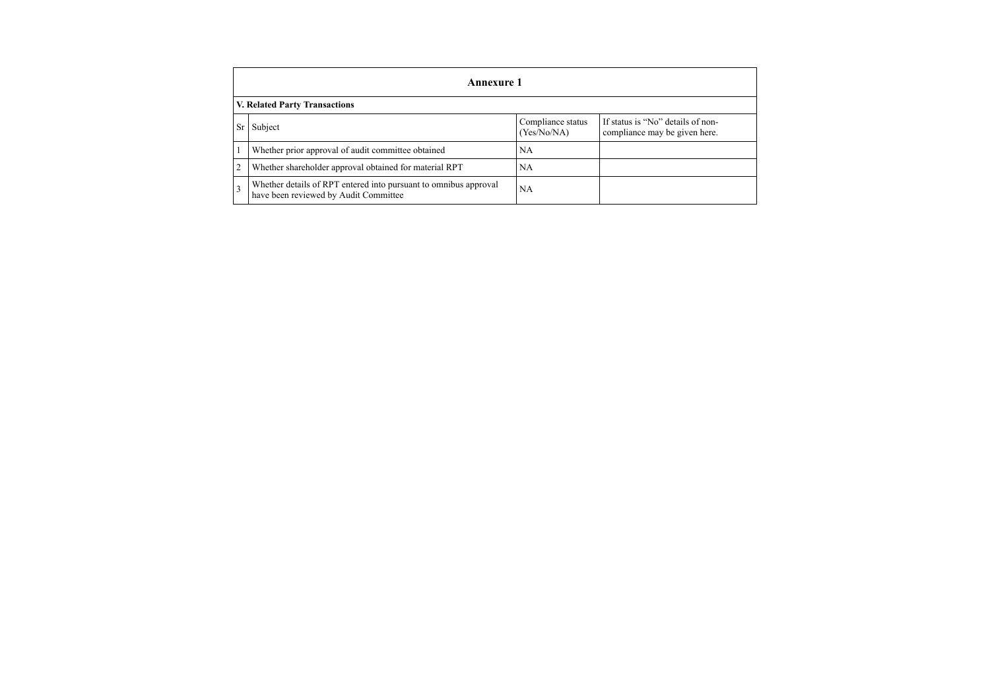|    | <b>Annexure 1</b>                                                                                         |                                  |                                                                    |  |  |
|----|-----------------------------------------------------------------------------------------------------------|----------------------------------|--------------------------------------------------------------------|--|--|
|    | V. Related Party Transactions                                                                             |                                  |                                                                    |  |  |
| Sr | Subject                                                                                                   | Compliance status<br>(Yes/No/NA) | If status is "No" details of non-<br>compliance may be given here. |  |  |
|    | Whether prior approval of audit committee obtained                                                        | NA                               |                                                                    |  |  |
|    | Whether shareholder approval obtained for material RPT                                                    | <b>NA</b>                        |                                                                    |  |  |
|    | Whether details of RPT entered into pursuant to omnibus approval<br>have been reviewed by Audit Committee | NA                               |                                                                    |  |  |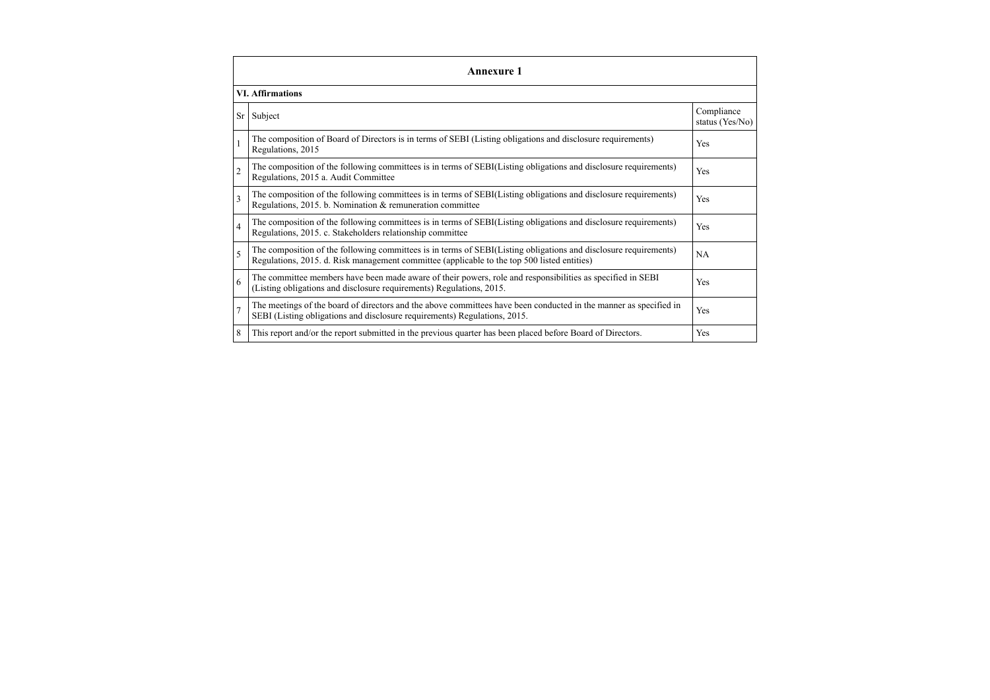|                | <b>Annexure 1</b>                                                                                                                                                                                               |                               |  |  |  |  |
|----------------|-----------------------------------------------------------------------------------------------------------------------------------------------------------------------------------------------------------------|-------------------------------|--|--|--|--|
|                | <b>VI. Affirmations</b>                                                                                                                                                                                         |                               |  |  |  |  |
| Sr             | Subject                                                                                                                                                                                                         | Compliance<br>status (Yes/No) |  |  |  |  |
|                | The composition of Board of Directors is in terms of SEBI (Listing obligations and disclosure requirements)<br>Regulations, 2015                                                                                | Yes                           |  |  |  |  |
| $\overline{c}$ | The composition of the following committees is in terms of SEBI(Listing obligations and disclosure requirements)<br>Regulations, 2015 a. Audit Committee                                                        | Yes                           |  |  |  |  |
| 3              | The composition of the following committees is in terms of SEBI(Listing obligations and disclosure requirements)<br>Regulations, 2015. b. Nomination & remuneration committee                                   | Yes                           |  |  |  |  |
| $\overline{4}$ | The composition of the following committees is in terms of SEBI(Listing obligations and disclosure requirements)<br>Regulations, 2015. c. Stakeholders relationship committee                                   | Yes                           |  |  |  |  |
| 5              | The composition of the following committees is in terms of SEBI(Listing obligations and disclosure requirements)<br>Regulations, 2015. d. Risk management committee (applicable to the top 500 listed entities) | <b>NA</b>                     |  |  |  |  |
| 6              | The committee members have been made aware of their powers, role and responsibilities as specified in SEBI<br>(Listing obligations and disclosure requirements) Regulations, 2015.                              | Yes                           |  |  |  |  |
| 7              | The meetings of the board of directors and the above committees have been conducted in the manner as specified in<br>SEBI (Listing obligations and disclosure requirements) Regulations, 2015.                  | Yes                           |  |  |  |  |
| 8              | This report and/or the report submitted in the previous quarter has been placed before Board of Directors.                                                                                                      | Yes                           |  |  |  |  |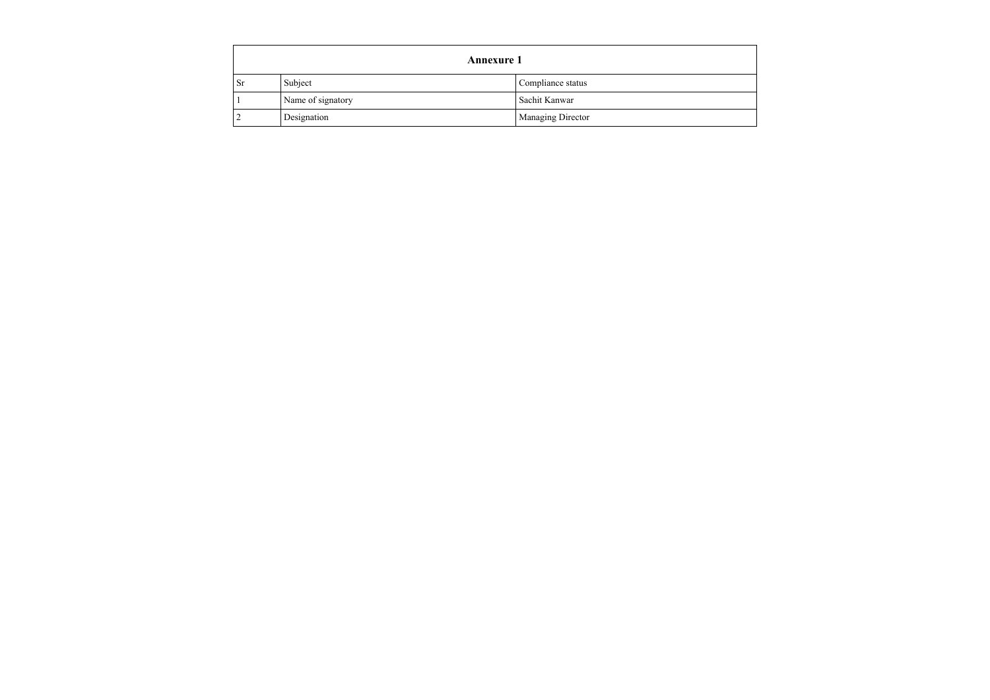| <b>Annexure 1</b> |                   |                   |  |
|-------------------|-------------------|-------------------|--|
| <b>Sr</b>         | Subject           | Compliance status |  |
|                   | Name of signatory | Sachit Kanwar     |  |
|                   | Designation       | Managing Director |  |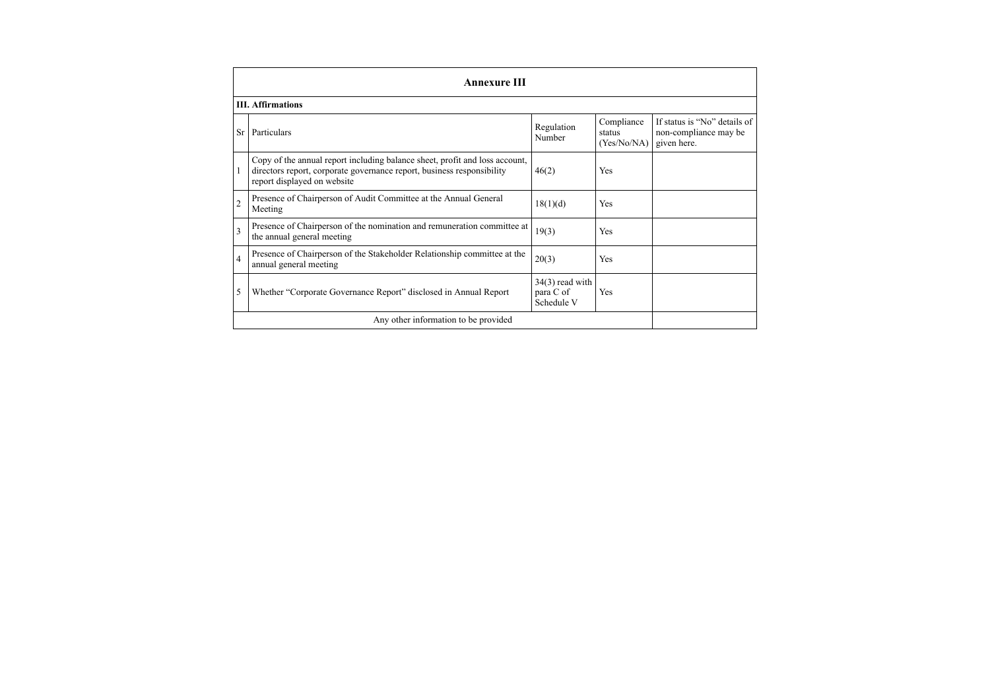|                | <b>Annexure III</b>                                                                                                                                                                  |                                              |                                     |                                                                      |  |  |  |
|----------------|--------------------------------------------------------------------------------------------------------------------------------------------------------------------------------------|----------------------------------------------|-------------------------------------|----------------------------------------------------------------------|--|--|--|
|                | <b>III.</b> Affirmations                                                                                                                                                             |                                              |                                     |                                                                      |  |  |  |
| Sr             | Particulars                                                                                                                                                                          | Regulation<br>Number                         | Compliance<br>status<br>(Yes/No/NA) | If status is "No" details of<br>non-compliance may be<br>given here. |  |  |  |
| 1              | Copy of the annual report including balance sheet, profit and loss account,<br>directors report, corporate governance report, business responsibility<br>report displayed on website | 46(2)                                        | Yes                                 |                                                                      |  |  |  |
| $\overline{2}$ | Presence of Chairperson of Audit Committee at the Annual General<br>Meeting                                                                                                          | 18(1)(d)                                     | Yes                                 |                                                                      |  |  |  |
| 3              | Presence of Chairperson of the nomination and remuneration committee at<br>the annual general meeting                                                                                | 19(3)                                        | <b>Yes</b>                          |                                                                      |  |  |  |
| $\overline{4}$ | Presence of Chairperson of the Stakeholder Relationship committee at the<br>annual general meeting                                                                                   | 20(3)                                        | <b>Yes</b>                          |                                                                      |  |  |  |
| 5              | Whether "Corporate Governance Report" disclosed in Annual Report                                                                                                                     | $34(3)$ read with<br>para C of<br>Schedule V | Yes                                 |                                                                      |  |  |  |
|                | Any other information to be provided                                                                                                                                                 |                                              |                                     |                                                                      |  |  |  |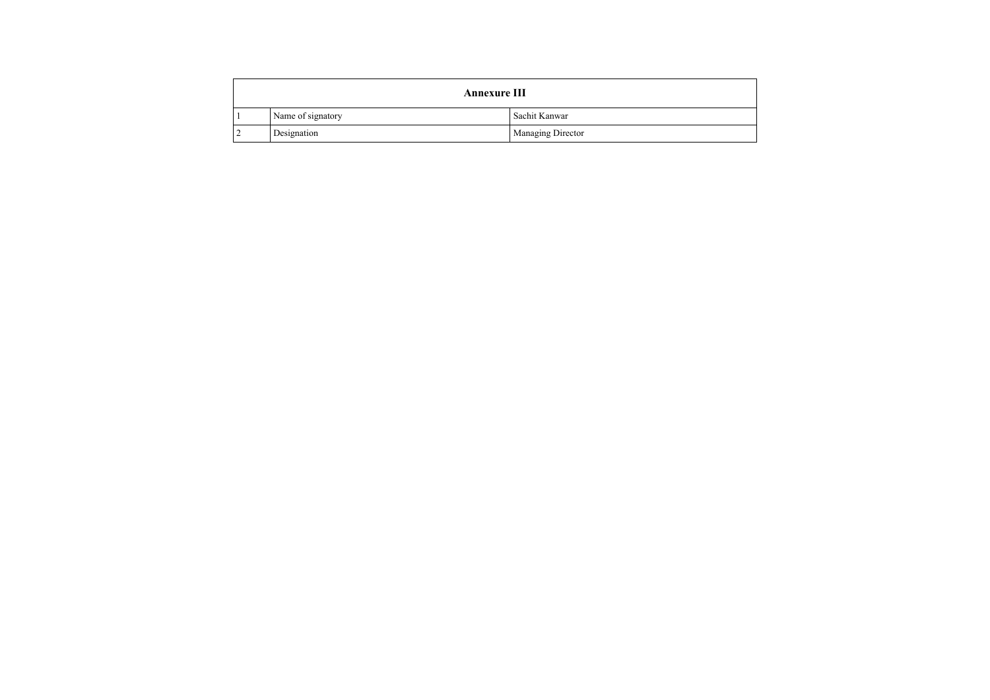| <b>Annexure III</b> |                   |  |
|---------------------|-------------------|--|
| Name of signatory   | Sachit Kanwar     |  |
| Designation         | Managing Director |  |